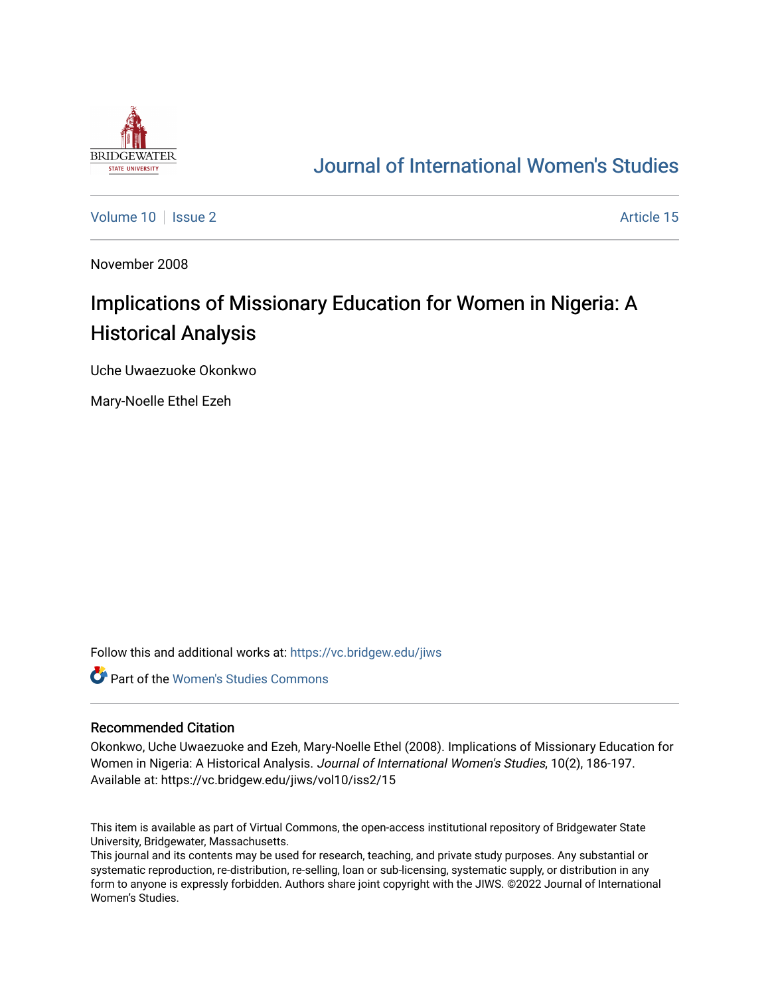

## [Journal of International Women's Studies](https://vc.bridgew.edu/jiws)

[Volume 10](https://vc.bridgew.edu/jiws/vol10) | [Issue 2](https://vc.bridgew.edu/jiws/vol10/iss2) Article 15

November 2008

# Implications of Missionary Education for Women in Nigeria: A Historical Analysis

Uche Uwaezuoke Okonkwo

Mary-Noelle Ethel Ezeh

Follow this and additional works at: [https://vc.bridgew.edu/jiws](https://vc.bridgew.edu/jiws?utm_source=vc.bridgew.edu%2Fjiws%2Fvol10%2Fiss2%2F15&utm_medium=PDF&utm_campaign=PDFCoverPages)

**C** Part of the Women's Studies Commons

#### Recommended Citation

Okonkwo, Uche Uwaezuoke and Ezeh, Mary-Noelle Ethel (2008). Implications of Missionary Education for Women in Nigeria: A Historical Analysis. Journal of International Women's Studies, 10(2), 186-197. Available at: https://vc.bridgew.edu/jiws/vol10/iss2/15

This item is available as part of Virtual Commons, the open-access institutional repository of Bridgewater State University, Bridgewater, Massachusetts.

This journal and its contents may be used for research, teaching, and private study purposes. Any substantial or systematic reproduction, re-distribution, re-selling, loan or sub-licensing, systematic supply, or distribution in any form to anyone is expressly forbidden. Authors share joint copyright with the JIWS. ©2022 Journal of International Women's Studies.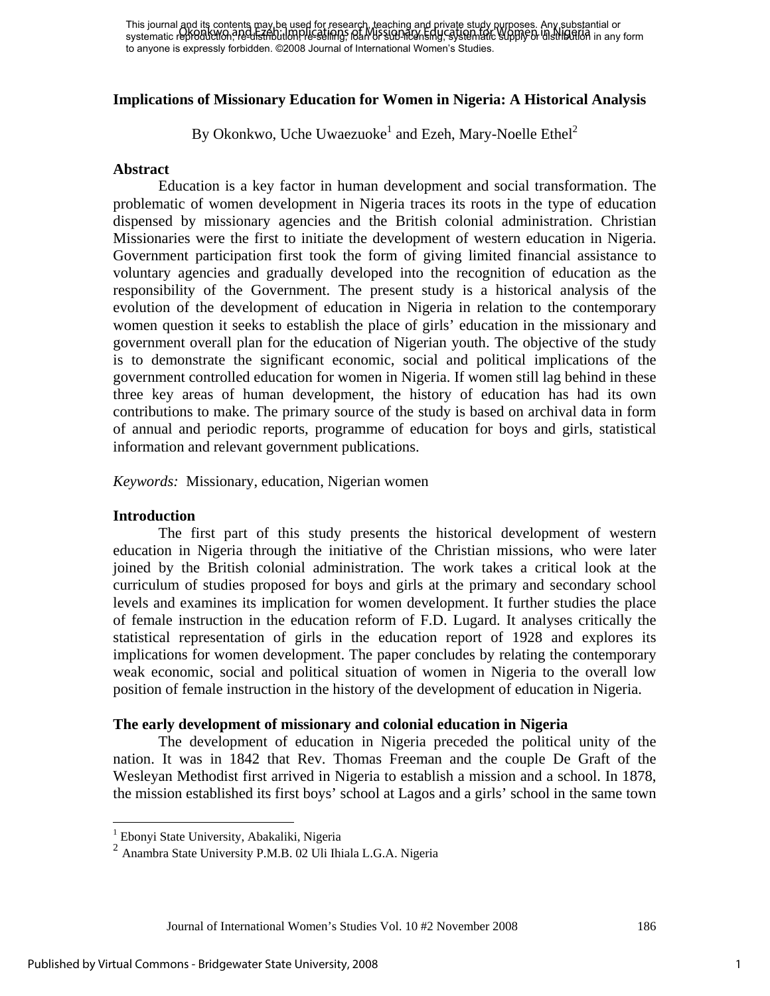This journal and its contents may be used for research, teaching and private study purposes. Any substantial or This journal of Women and Ezeptic months care in Nigeria and Education, Representation or substantial or distribution in any form systematic reproduction, are distribution of Missionary Education in any form in Nigeria and to anyone is expressly forbidden. ©2008 Journal of International Women's Studies.

## **Implications of Missionary Education for Women in Nigeria: A Historical Analysis**

By Okonkwo, Uche Uwaezuoke<sup>1</sup> and Ezeh, Mary-Noelle Ethel<sup>2</sup>

#### **Abstract**

Education is a key factor in human development and social transformation. The problematic of women development in Nigeria traces its roots in the type of education dispensed by missionary agencies and the British colonial administration. Christian Missionaries were the first to initiate the development of western education in Nigeria. Government participation first took the form of giving limited financial assistance to voluntary agencies and gradually developed into the recognition of education as the responsibility of the Government. The present study is a historical analysis of the evolution of the development of education in Nigeria in relation to the contemporary women question it seeks to establish the place of girls' education in the missionary and government overall plan for the education of Nigerian youth. The objective of the study is to demonstrate the significant economic, social and political implications of the government controlled education for women in Nigeria. If women still lag behind in these three key areas of human development, the history of education has had its own contributions to make. The primary source of the study is based on archival data in form of annual and periodic reports, programme of education for boys and girls, statistical information and relevant government publications.

*Keywords:* Missionary, education, Nigerian women

#### **Introduction**

 The first part of this study presents the historical development of western education in Nigeria through the initiative of the Christian missions, who were later joined by the British colonial administration. The work takes a critical look at the curriculum of studies proposed for boys and girls at the primary and secondary school levels and examines its implication for women development. It further studies the place of female instruction in the education reform of F.D. Lugard. It analyses critically the statistical representation of girls in the education report of 1928 and explores its implications for women development. The paper concludes by relating the contemporary weak economic, social and political situation of women in Nigeria to the overall low position of female instruction in the history of the development of education in Nigeria.

#### **The early development of missionary and colonial education in Nigeria**

 The development of education in Nigeria preceded the political unity of the nation. It was in 1842 that Rev. Thomas Freeman and the couple De Graft of the Wesleyan Methodist first arrived in Nigeria to establish a mission and a school. In 1878, the mission established its first boys' school at Lagos and a girls' school in the same town

 1 Ebonyi State University, Abakaliki, Nigeria

<sup>2</sup> Anambra State University P.M.B. 02 Uli Ihiala L.G.A. Nigeria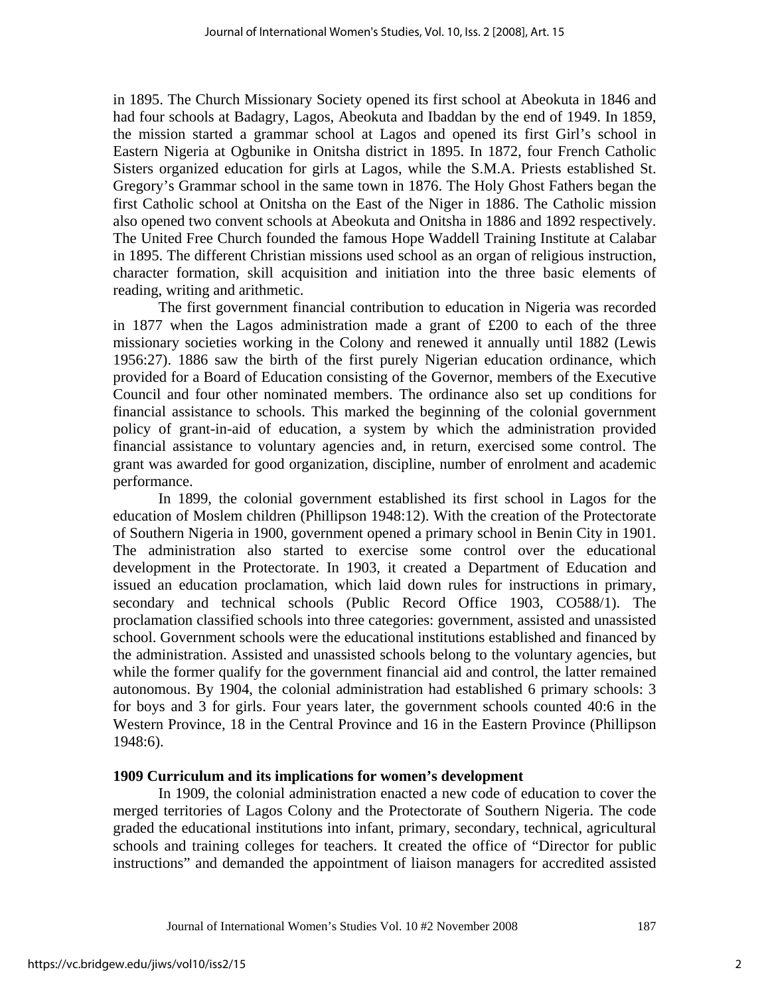in 1895. The Church Missionary Society opened its first school at Abeokuta in 1846 and had four schools at Badagry, Lagos, Abeokuta and Ibaddan by the end of 1949. In 1859, the mission started a grammar school at Lagos and opened its first Girl's school in Eastern Nigeria at Ogbunike in Onitsha district in 1895. In 1872, four French Catholic Sisters organized education for girls at Lagos, while the S.M.A. Priests established St. Gregory's Grammar school in the same town in 1876. The Holy Ghost Fathers began the first Catholic school at Onitsha on the East of the Niger in 1886. The Catholic mission also opened two convent schools at Abeokuta and Onitsha in 1886 and 1892 respectively. The United Free Church founded the famous Hope Waddell Training Institute at Calabar in 1895. The different Christian missions used school as an organ of religious instruction, character formation, skill acquisition and initiation into the three basic elements of reading, writing and arithmetic.

 The first government financial contribution to education in Nigeria was recorded in 1877 when the Lagos administration made a grant of £200 to each of the three missionary societies working in the Colony and renewed it annually until 1882 (Lewis 1956:27). 1886 saw the birth of the first purely Nigerian education ordinance, which provided for a Board of Education consisting of the Governor, members of the Executive Council and four other nominated members. The ordinance also set up conditions for financial assistance to schools. This marked the beginning of the colonial government policy of grant-in-aid of education, a system by which the administration provided financial assistance to voluntary agencies and, in return, exercised some control. The grant was awarded for good organization, discipline, number of enrolment and academic performance.

 In 1899, the colonial government established its first school in Lagos for the education of Moslem children (Phillipson 1948:12). With the creation of the Protectorate of Southern Nigeria in 1900, government opened a primary school in Benin City in 1901. The administration also started to exercise some control over the educational development in the Protectorate. In 1903, it created a Department of Education and issued an education proclamation, which laid down rules for instructions in primary, secondary and technical schools (Public Record Office 1903, CO588/1). The proclamation classified schools into three categories: government, assisted and unassisted school. Government schools were the educational institutions established and financed by the administration. Assisted and unassisted schools belong to the voluntary agencies, but while the former qualify for the government financial aid and control, the latter remained autonomous. By 1904, the colonial administration had established 6 primary schools: 3 for boys and 3 for girls. Four years later, the government schools counted 40:6 in the Western Province, 18 in the Central Province and 16 in the Eastern Province (Phillipson 1948:6).

#### **1909 Curriculum and its implications for women's development**

 In 1909, the colonial administration enacted a new code of education to cover the merged territories of Lagos Colony and the Protectorate of Southern Nigeria. The code graded the educational institutions into infant, primary, secondary, technical, agricultural schools and training colleges for teachers. It created the office of "Director for public instructions" and demanded the appointment of liaison managers for accredited assisted

Journal of International Women's Studies Vol. 10 #2 November 2008 187

2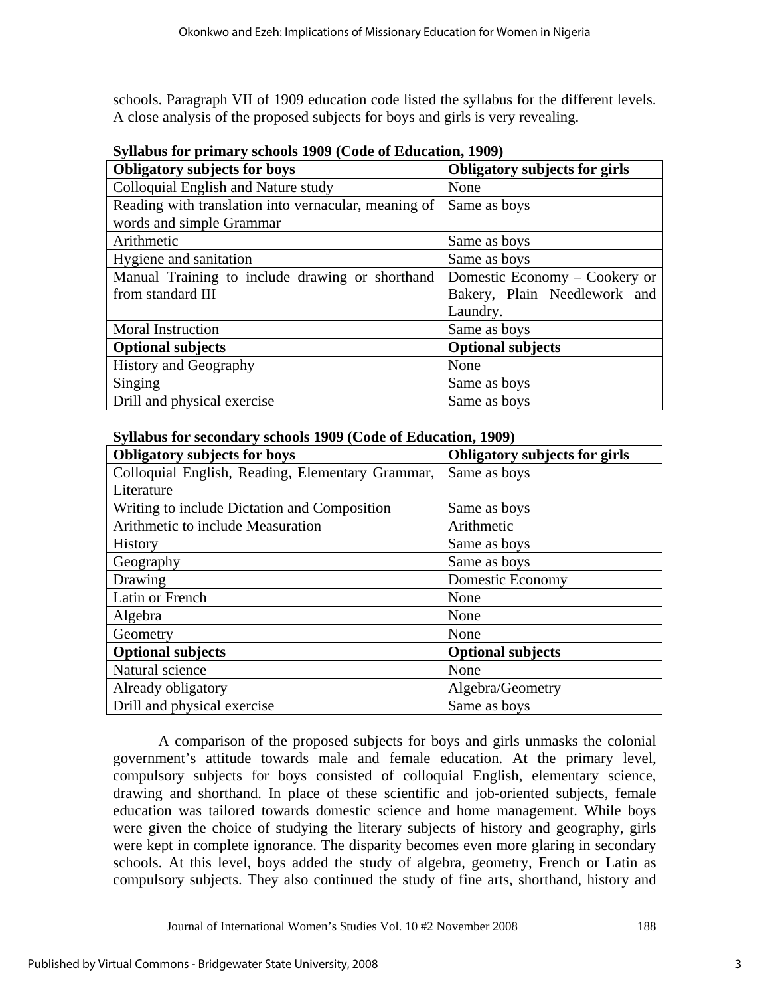schools. Paragraph VII of 1909 education code listed the syllabus for the different levels. A close analysis of the proposed subjects for boys and girls is very revealing.

| $\mathcal{O}$ ynabus for primary schools 1707 (Couc of Equication, 1707) |                                      |  |  |  |  |
|--------------------------------------------------------------------------|--------------------------------------|--|--|--|--|
| <b>Obligatory subjects for boys</b>                                      | <b>Obligatory subjects for girls</b> |  |  |  |  |
| Colloquial English and Nature study                                      | None                                 |  |  |  |  |
| Reading with translation into vernacular, meaning of                     | Same as boys                         |  |  |  |  |
| words and simple Grammar                                                 |                                      |  |  |  |  |
| Arithmetic                                                               | Same as boys                         |  |  |  |  |
| Hygiene and sanitation                                                   | Same as boys                         |  |  |  |  |
| Manual Training to include drawing or shorthand                          | Domestic Economy – Cookery or        |  |  |  |  |
| from standard III                                                        | Bakery, Plain Needlework and         |  |  |  |  |
|                                                                          | Laundry.                             |  |  |  |  |
| <b>Moral Instruction</b>                                                 | Same as boys                         |  |  |  |  |
| <b>Optional subjects</b>                                                 | <b>Optional subjects</b>             |  |  |  |  |
| <b>History and Geography</b>                                             | None                                 |  |  |  |  |
| Singing                                                                  | Same as boys                         |  |  |  |  |
| Drill and physical exercise                                              | Same as boys                         |  |  |  |  |

**Syllabus for primary schools 1909 (Code of Education, 1909)** 

| <b>Obligatory subjects for boys</b>              | <b>Obligatory subjects for girls</b> |  |  |
|--------------------------------------------------|--------------------------------------|--|--|
| Colloquial English, Reading, Elementary Grammar, | Same as boys                         |  |  |
| Literature                                       |                                      |  |  |
| Writing to include Dictation and Composition     | Same as boys                         |  |  |
| Arithmetic to include Measuration                | Arithmetic                           |  |  |
| History                                          | Same as boys                         |  |  |
| Geography                                        | Same as boys                         |  |  |
| Drawing                                          | <b>Domestic Economy</b>              |  |  |
| Latin or French                                  | None                                 |  |  |
| Algebra                                          | None                                 |  |  |
| Geometry                                         | None                                 |  |  |
| <b>Optional subjects</b>                         | <b>Optional subjects</b>             |  |  |
| Natural science                                  | None                                 |  |  |
| Already obligatory                               | Algebra/Geometry                     |  |  |
| Drill and physical exercise                      | Same as boys                         |  |  |

 A comparison of the proposed subjects for boys and girls unmasks the colonial government's attitude towards male and female education. At the primary level, compulsory subjects for boys consisted of colloquial English, elementary science, drawing and shorthand. In place of these scientific and job-oriented subjects, female education was tailored towards domestic science and home management. While boys were given the choice of studying the literary subjects of history and geography, girls were kept in complete ignorance. The disparity becomes even more glaring in secondary schools. At this level, boys added the study of algebra, geometry, French or Latin as compulsory subjects. They also continued the study of fine arts, shorthand, history and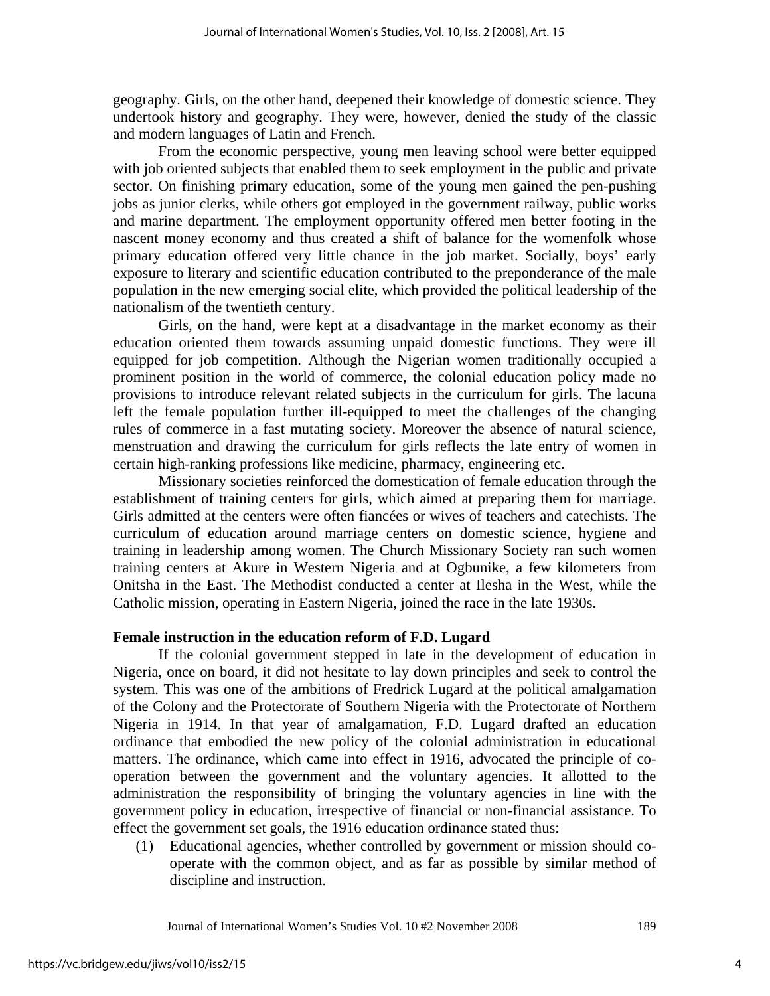geography. Girls, on the other hand, deepened their knowledge of domestic science. They undertook history and geography. They were, however, denied the study of the classic and modern languages of Latin and French.

 From the economic perspective, young men leaving school were better equipped with job oriented subjects that enabled them to seek employment in the public and private sector. On finishing primary education, some of the young men gained the pen-pushing jobs as junior clerks, while others got employed in the government railway, public works and marine department. The employment opportunity offered men better footing in the nascent money economy and thus created a shift of balance for the womenfolk whose primary education offered very little chance in the job market. Socially, boys' early exposure to literary and scientific education contributed to the preponderance of the male population in the new emerging social elite, which provided the political leadership of the nationalism of the twentieth century.

 Girls, on the hand, were kept at a disadvantage in the market economy as their education oriented them towards assuming unpaid domestic functions. They were ill equipped for job competition. Although the Nigerian women traditionally occupied a prominent position in the world of commerce, the colonial education policy made no provisions to introduce relevant related subjects in the curriculum for girls. The lacuna left the female population further ill-equipped to meet the challenges of the changing rules of commerce in a fast mutating society. Moreover the absence of natural science, menstruation and drawing the curriculum for girls reflects the late entry of women in certain high-ranking professions like medicine, pharmacy, engineering etc.

 Missionary societies reinforced the domestication of female education through the establishment of training centers for girls, which aimed at preparing them for marriage. Girls admitted at the centers were often fiancées or wives of teachers and catechists. The curriculum of education around marriage centers on domestic science, hygiene and training in leadership among women. The Church Missionary Society ran such women training centers at Akure in Western Nigeria and at Ogbunike, a few kilometers from Onitsha in the East. The Methodist conducted a center at Ilesha in the West, while the Catholic mission, operating in Eastern Nigeria, joined the race in the late 1930s.

## **Female instruction in the education reform of F.D. Lugard**

 If the colonial government stepped in late in the development of education in Nigeria, once on board, it did not hesitate to lay down principles and seek to control the system. This was one of the ambitions of Fredrick Lugard at the political amalgamation of the Colony and the Protectorate of Southern Nigeria with the Protectorate of Northern Nigeria in 1914. In that year of amalgamation, F.D. Lugard drafted an education ordinance that embodied the new policy of the colonial administration in educational matters. The ordinance, which came into effect in 1916, advocated the principle of cooperation between the government and the voluntary agencies. It allotted to the administration the responsibility of bringing the voluntary agencies in line with the government policy in education, irrespective of financial or non-financial assistance. To effect the government set goals, the 1916 education ordinance stated thus:

(1) Educational agencies, whether controlled by government or mission should cooperate with the common object, and as far as possible by similar method of discipline and instruction.

Journal of International Women's Studies Vol. 10 #2 November 2008 189

4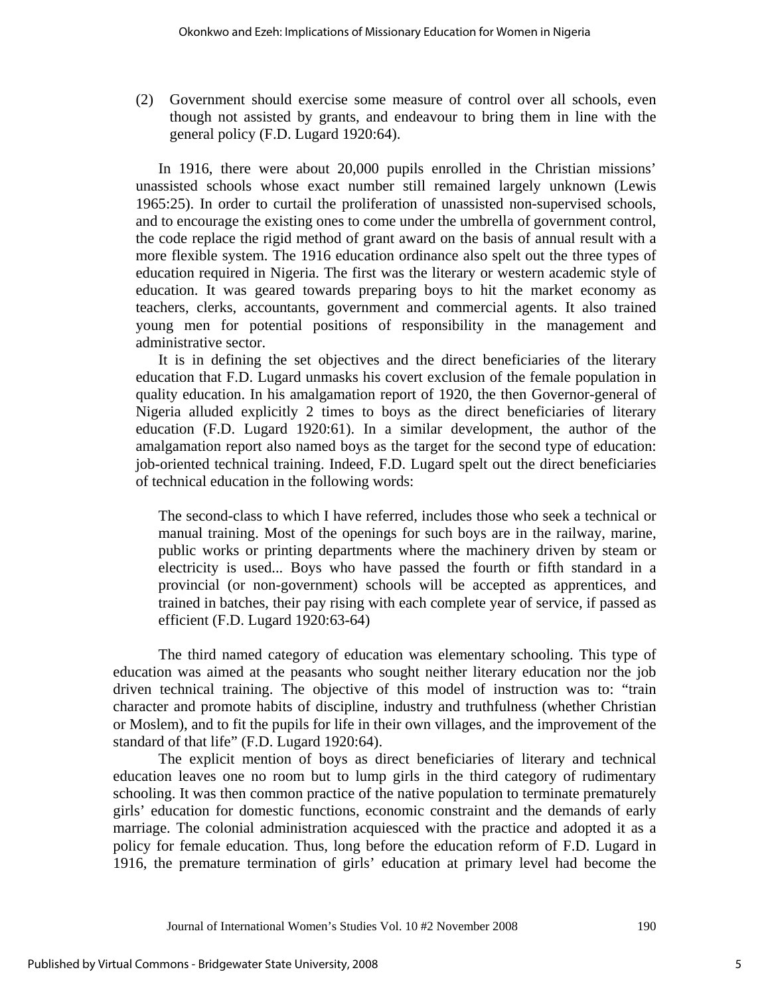(2) Government should exercise some measure of control over all schools, even though not assisted by grants, and endeavour to bring them in line with the general policy (F.D. Lugard 1920:64).

In 1916, there were about 20,000 pupils enrolled in the Christian missions' unassisted schools whose exact number still remained largely unknown (Lewis 1965:25). In order to curtail the proliferation of unassisted non-supervised schools, and to encourage the existing ones to come under the umbrella of government control, the code replace the rigid method of grant award on the basis of annual result with a more flexible system. The 1916 education ordinance also spelt out the three types of education required in Nigeria. The first was the literary or western academic style of education. It was geared towards preparing boys to hit the market economy as teachers, clerks, accountants, government and commercial agents. It also trained young men for potential positions of responsibility in the management and administrative sector.

 It is in defining the set objectives and the direct beneficiaries of the literary education that F.D. Lugard unmasks his covert exclusion of the female population in quality education. In his amalgamation report of 1920, the then Governor-general of Nigeria alluded explicitly 2 times to boys as the direct beneficiaries of literary education (F.D. Lugard 1920:61). In a similar development, the author of the amalgamation report also named boys as the target for the second type of education: job-oriented technical training. Indeed, F.D. Lugard spelt out the direct beneficiaries of technical education in the following words:

The second-class to which I have referred, includes those who seek a technical or manual training. Most of the openings for such boys are in the railway, marine, public works or printing departments where the machinery driven by steam or electricity is used... Boys who have passed the fourth or fifth standard in a provincial (or non-government) schools will be accepted as apprentices, and trained in batches, their pay rising with each complete year of service, if passed as efficient (F.D. Lugard 1920:63-64)

 The third named category of education was elementary schooling. This type of education was aimed at the peasants who sought neither literary education nor the job driven technical training. The objective of this model of instruction was to: "train character and promote habits of discipline, industry and truthfulness (whether Christian or Moslem), and to fit the pupils for life in their own villages, and the improvement of the standard of that life" (F.D. Lugard 1920:64).

 The explicit mention of boys as direct beneficiaries of literary and technical education leaves one no room but to lump girls in the third category of rudimentary schooling. It was then common practice of the native population to terminate prematurely girls' education for domestic functions, economic constraint and the demands of early marriage. The colonial administration acquiesced with the practice and adopted it as a policy for female education. Thus, long before the education reform of F.D. Lugard in 1916, the premature termination of girls' education at primary level had become the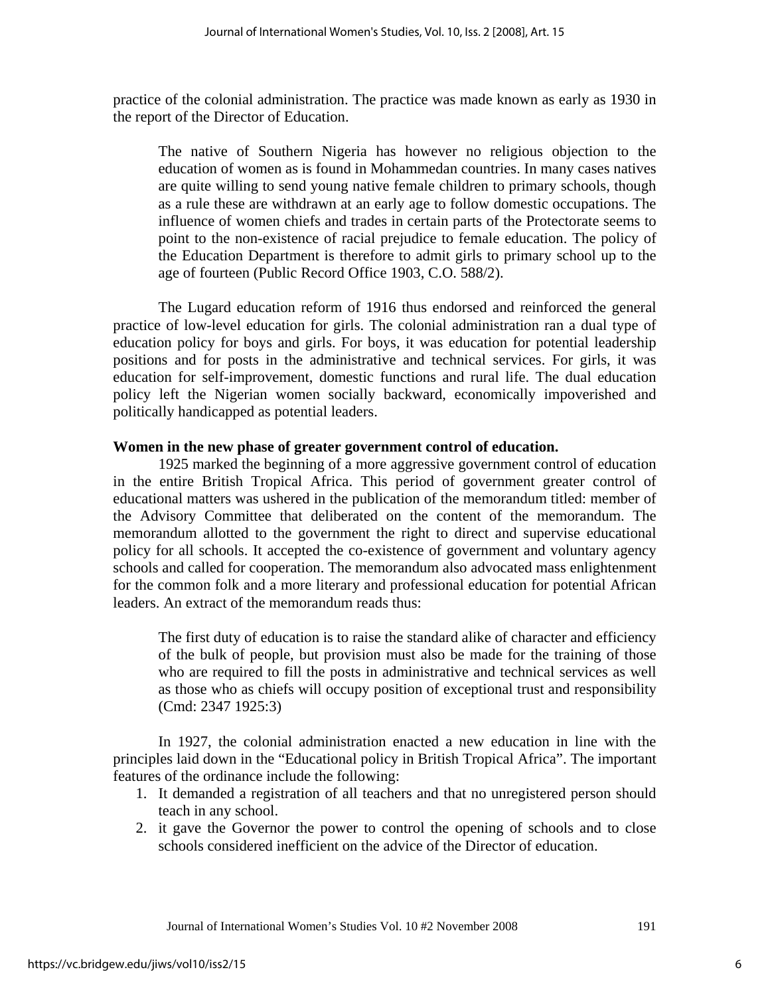practice of the colonial administration. The practice was made known as early as 1930 in the report of the Director of Education.

The native of Southern Nigeria has however no religious objection to the education of women as is found in Mohammedan countries. In many cases natives are quite willing to send young native female children to primary schools, though as a rule these are withdrawn at an early age to follow domestic occupations. The influence of women chiefs and trades in certain parts of the Protectorate seems to point to the non-existence of racial prejudice to female education. The policy of the Education Department is therefore to admit girls to primary school up to the age of fourteen (Public Record Office 1903, C.O. 588/2).

 The Lugard education reform of 1916 thus endorsed and reinforced the general practice of low-level education for girls. The colonial administration ran a dual type of education policy for boys and girls. For boys, it was education for potential leadership positions and for posts in the administrative and technical services. For girls, it was education for self-improvement, domestic functions and rural life. The dual education policy left the Nigerian women socially backward, economically impoverished and politically handicapped as potential leaders.

## **Women in the new phase of greater government control of education.**

 1925 marked the beginning of a more aggressive government control of education in the entire British Tropical Africa. This period of government greater control of educational matters was ushered in the publication of the memorandum titled: member of the Advisory Committee that deliberated on the content of the memorandum. The memorandum allotted to the government the right to direct and supervise educational policy for all schools. It accepted the co-existence of government and voluntary agency schools and called for cooperation. The memorandum also advocated mass enlightenment for the common folk and a more literary and professional education for potential African leaders. An extract of the memorandum reads thus:

The first duty of education is to raise the standard alike of character and efficiency of the bulk of people, but provision must also be made for the training of those who are required to fill the posts in administrative and technical services as well as those who as chiefs will occupy position of exceptional trust and responsibility (Cmd: 2347 1925:3)

 In 1927, the colonial administration enacted a new education in line with the principles laid down in the "Educational policy in British Tropical Africa". The important features of the ordinance include the following:

- 1. It demanded a registration of all teachers and that no unregistered person should teach in any school.
- 2. it gave the Governor the power to control the opening of schools and to close schools considered inefficient on the advice of the Director of education.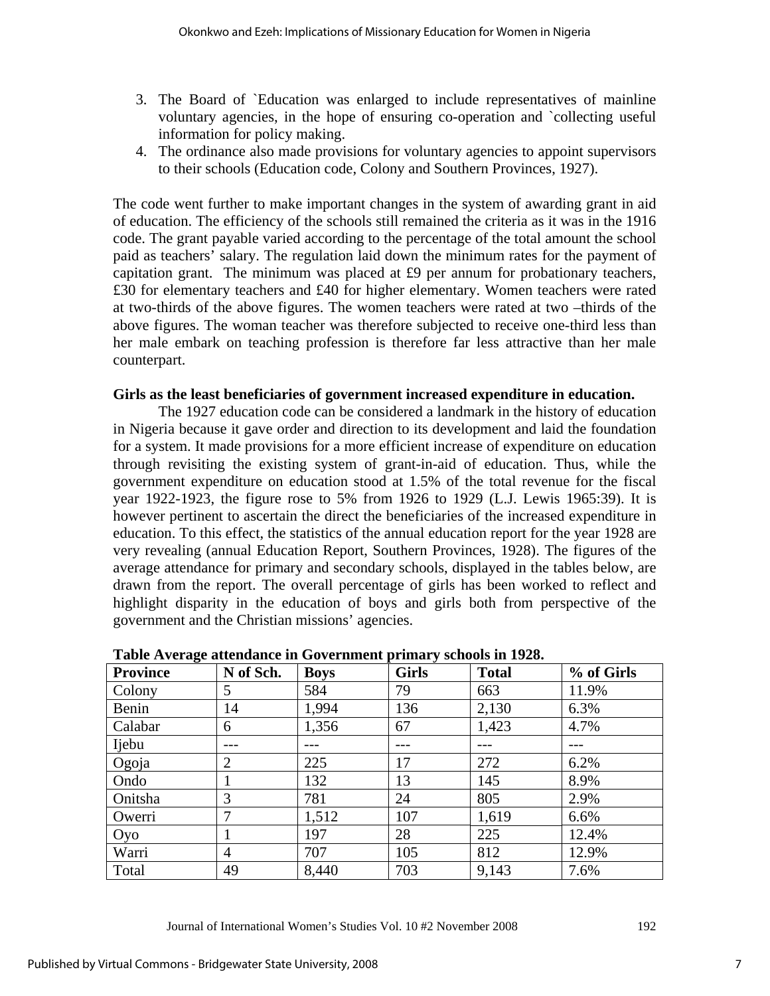- 3. The Board of `Education was enlarged to include representatives of mainline voluntary agencies, in the hope of ensuring co-operation and `collecting useful information for policy making.
- 4. The ordinance also made provisions for voluntary agencies to appoint supervisors to their schools (Education code, Colony and Southern Provinces, 1927).

The code went further to make important changes in the system of awarding grant in aid of education. The efficiency of the schools still remained the criteria as it was in the 1916 code. The grant payable varied according to the percentage of the total amount the school paid as teachers' salary. The regulation laid down the minimum rates for the payment of capitation grant. The minimum was placed at £9 per annum for probationary teachers, £30 for elementary teachers and £40 for higher elementary. Women teachers were rated at two-thirds of the above figures. The women teachers were rated at two –thirds of the above figures. The woman teacher was therefore subjected to receive one-third less than her male embark on teaching profession is therefore far less attractive than her male counterpart.

## **Girls as the least beneficiaries of government increased expenditure in education.**

The 1927 education code can be considered a landmark in the history of education in Nigeria because it gave order and direction to its development and laid the foundation for a system. It made provisions for a more efficient increase of expenditure on education through revisiting the existing system of grant-in-aid of education. Thus, while the government expenditure on education stood at 1.5% of the total revenue for the fiscal year 1922-1923, the figure rose to 5% from 1926 to 1929 (L.J. Lewis 1965:39). It is however pertinent to ascertain the direct the beneficiaries of the increased expenditure in education. To this effect, the statistics of the annual education report for the year 1928 are very revealing (annual Education Report, Southern Provinces, 1928). The figures of the average attendance for primary and secondary schools, displayed in the tables below, are drawn from the report. The overall percentage of girls has been worked to reflect and highlight disparity in the education of boys and girls both from perspective of the government and the Christian missions' agencies.

| o<br><b>Province</b> | N of Sch.      | <b>Boys</b> | <b>Girls</b> | <b>Total</b> | % of Girls |
|----------------------|----------------|-------------|--------------|--------------|------------|
| Colony               | 5              | 584         | 79           | 663          | 11.9%      |
| Benin                | 14             | 1,994       | 136          | 2,130        | 6.3%       |
| Calabar              | 6              | 1,356       | 67           | 1,423        | 4.7%       |
| Ijebu                |                |             |              |              |            |
| Ogoja                | $\overline{2}$ | 225         | 17           | 272          | 6.2%       |
| Ondo                 |                | 132         | 13           | 145          | 8.9%       |
| Onitsha              | 3              | 781         | 24           | 805          | 2.9%       |
| Owerri               | 7              | 1,512       | 107          | 1,619        | 6.6%       |
| Oyo                  |                | 197         | 28           | 225          | 12.4%      |
| Warri                | $\overline{4}$ | 707         | 105          | 812          | 12.9%      |
| Total                | 49             | 8,440       | 703          | 9,143        | 7.6%       |

**Table Average attendance in Government primary schools in 1928.**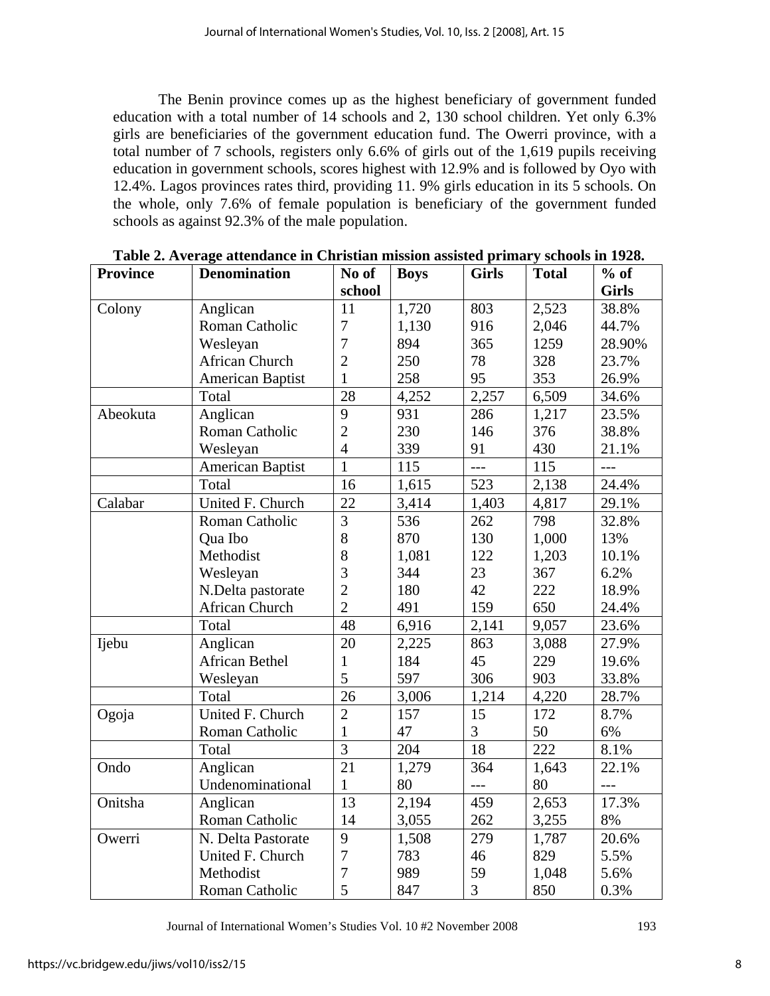The Benin province comes up as the highest beneficiary of government funded education with a total number of 14 schools and 2, 130 school children. Yet only 6.3% girls are beneficiaries of the government education fund. The Owerri province, with a total number of 7 schools, registers only 6.6% of girls out of the 1,619 pupils receiving education in government schools, scores highest with 12.9% and is followed by Oyo with 12.4%. Lagos provinces rates third, providing 11. 9% girls education in its 5 schools. On the whole, only 7.6% of female population is beneficiary of the government funded schools as against 92.3% of the male population.

| <b>Province</b> | <b>Denomination</b>     | No of           | <b>Boys</b> | <b>Girls</b>   | <b>Total</b> | $%$ of       |
|-----------------|-------------------------|-----------------|-------------|----------------|--------------|--------------|
|                 |                         | school          |             |                |              | <b>Girls</b> |
| Colony          | Anglican                | 11              | 1,720       | 803            | 2,523        | 38.8%        |
|                 | Roman Catholic          | $\overline{7}$  | 1,130       | 916            | 2,046        | 44.7%        |
|                 | Wesleyan                | $\overline{7}$  | 894         | 365            | 1259         | 28.90%       |
|                 | <b>African Church</b>   | $\overline{2}$  | 250         | 78             | 328          | 23.7%        |
|                 | <b>American Baptist</b> | $\mathbf{1}$    | 258         | 95             | 353          | 26.9%        |
|                 | Total                   | 28              | 4,252       | 2,257          | 6,509        | 34.6%        |
| Abeokuta        | Anglican                | 9               | 931         | 286            | 1,217        | 23.5%        |
|                 | Roman Catholic          | $\overline{2}$  | 230         | 146            | 376          | 38.8%        |
|                 | Wesleyan                | $\overline{4}$  | 339         | 91             | 430          | 21.1%        |
|                 | <b>American Baptist</b> | 1               | 115         | $---$          | 115          | $---$        |
|                 | Total                   | 16              | 1,615       | 523            | 2,138        | 24.4%        |
| Calabar         | United F. Church        | 22              | 3,414       | 1,403          | 4,817        | 29.1%        |
|                 | Roman Catholic          | $\overline{3}$  | 536         | 262            | 798          | 32.8%        |
|                 | Qua Ibo                 | 8               | 870         | 130            | 1,000        | 13%          |
|                 | Methodist               | 8               | 1,081       | 122            | 1,203        | 10.1%        |
|                 | Wesleyan                | $\overline{3}$  | 344         | 23             | 367          | 6.2%         |
|                 | N.Delta pastorate       | $\overline{2}$  | 180         | 42             | 222          | 18.9%        |
|                 | African Church          | $\overline{2}$  | 491         | 159            | 650          | 24.4%        |
|                 | Total                   | 48              | 6,916       | 2,141          | 9,057        | 23.6%        |
| Ijebu           | Anglican                | 20              | 2,225       | 863            | 3,088        | 27.9%        |
|                 | <b>African Bethel</b>   | $\mathbf{1}$    | 184         | 45             | 229          | 19.6%        |
|                 | Wesleyan                | 5               | 597         | 306            | 903          | 33.8%        |
|                 | Total                   | $\overline{26}$ | 3,006       | 1,214          | 4,220        | 28.7%        |
| Ogoja           | United F. Church        | $\overline{2}$  | 157         | 15             | 172          | 8.7%         |
|                 | Roman Catholic          | $\mathbf{1}$    | 47          | $\mathfrak{Z}$ | 50           | 6%           |
|                 | Total                   | $\overline{3}$  | 204         | 18             | 222          | 8.1%         |
| Ondo            | Anglican                | $\overline{21}$ | 1,279       | 364            | 1,643        | 22.1%        |
|                 | Undenominational        | $\mathbf{1}$    | 80          | $---$          | 80           | $---$        |
| Onitsha         | Anglican                | 13              | 2,194       | 459            | 2,653        | 17.3%        |
|                 | Roman Catholic          | 14              | 3,055       | 262            | 3,255        | 8%           |
| Owerri          | N. Delta Pastorate      | 9               | 1,508       | 279            | 1,787        | 20.6%        |
|                 | United F. Church        | $\overline{7}$  | 783         | 46             | 829          | 5.5%         |
|                 | Methodist               | $\overline{7}$  | 989         | 59             | 1,048        | 5.6%         |
|                 | Roman Catholic          | 5               | 847         | 3              | 850          | 0.3%         |

**Table 2. Average attendance in Christian mission assisted primary schools in 1928.**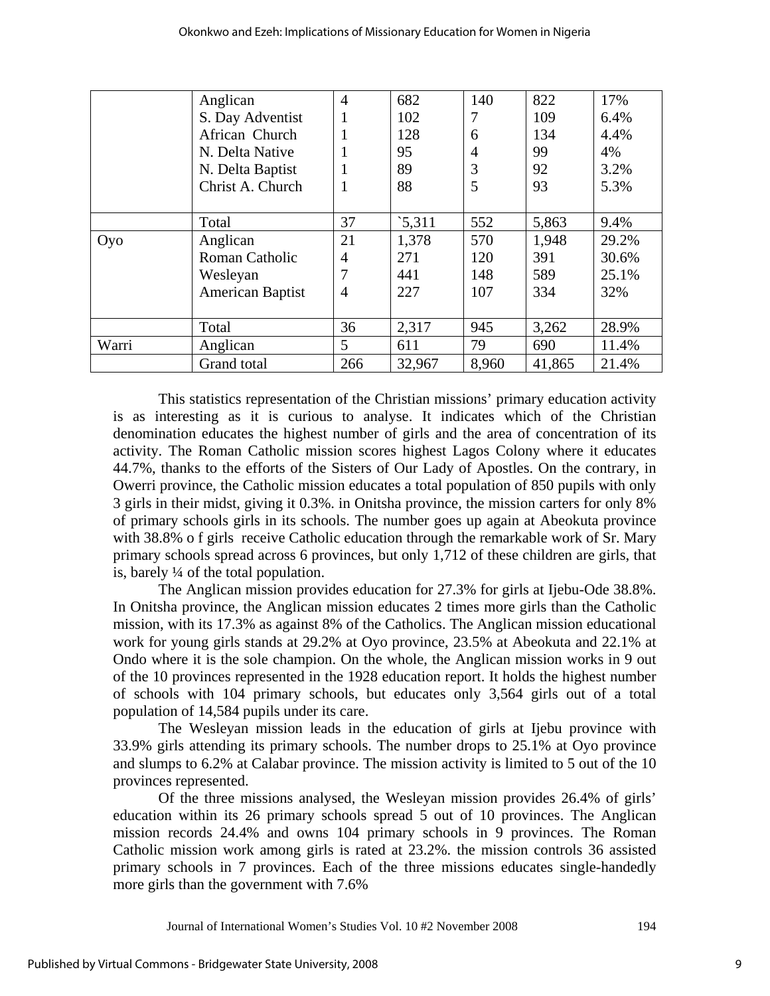|       |                         | $\overline{4}$ | 682    | 140            | 822    | 17%   |
|-------|-------------------------|----------------|--------|----------------|--------|-------|
|       | Anglican                |                |        |                |        |       |
|       | S. Day Adventist        |                | 102    | 7              | 109    | 6.4%  |
|       | African Church          |                | 128    | 6              | 134    | 4.4%  |
|       | N. Delta Native         |                | 95     | $\overline{4}$ | 99     | 4%    |
|       | N. Delta Baptist        |                | 89     | 3              | 92     | 3.2%  |
|       | Christ A. Church        | 1              | 88     | 5              | 93     | 5.3%  |
|       |                         |                |        |                |        |       |
|       | Total                   | 37             | 5,311  | 552            | 5,863  | 9.4%  |
| Oyo   | Anglican                | 21             | 1,378  | 570            | 1,948  | 29.2% |
|       | <b>Roman Catholic</b>   | 4              | 271    | 120            | 391    | 30.6% |
|       | Wesleyan                |                | 441    | 148            | 589    | 25.1% |
|       | <b>American Baptist</b> | 4              | 227    | 107            | 334    | 32%   |
|       |                         |                |        |                |        |       |
|       | Total                   | 36             | 2,317  | 945            | 3,262  | 28.9% |
| Warri | Anglican                | 5              | 611    | 79             | 690    | 11.4% |
|       | Grand total             | 266            | 32,967 | 8,960          | 41,865 | 21.4% |

This statistics representation of the Christian missions' primary education activity is as interesting as it is curious to analyse. It indicates which of the Christian denomination educates the highest number of girls and the area of concentration of its activity. The Roman Catholic mission scores highest Lagos Colony where it educates 44.7%, thanks to the efforts of the Sisters of Our Lady of Apostles. On the contrary, in Owerri province, the Catholic mission educates a total population of 850 pupils with only 3 girls in their midst, giving it 0.3%. in Onitsha province, the mission carters for only 8% of primary schools girls in its schools. The number goes up again at Abeokuta province with 38.8% o f girls receive Catholic education through the remarkable work of Sr. Mary primary schools spread across 6 provinces, but only 1,712 of these children are girls, that is, barely ¼ of the total population.

 The Anglican mission provides education for 27.3% for girls at Ijebu-Ode 38.8%. In Onitsha province, the Anglican mission educates 2 times more girls than the Catholic mission, with its 17.3% as against 8% of the Catholics. The Anglican mission educational work for young girls stands at 29.2% at Oyo province, 23.5% at Abeokuta and 22.1% at Ondo where it is the sole champion. On the whole, the Anglican mission works in 9 out of the 10 provinces represented in the 1928 education report. It holds the highest number of schools with 104 primary schools, but educates only 3,564 girls out of a total population of 14,584 pupils under its care.

 The Wesleyan mission leads in the education of girls at Ijebu province with 33.9% girls attending its primary schools. The number drops to 25.1% at Oyo province and slumps to 6.2% at Calabar province. The mission activity is limited to 5 out of the 10 provinces represented.

 Of the three missions analysed, the Wesleyan mission provides 26.4% of girls' education within its 26 primary schools spread 5 out of 10 provinces. The Anglican mission records 24.4% and owns 104 primary schools in 9 provinces. The Roman Catholic mission work among girls is rated at 23.2%. the mission controls 36 assisted primary schools in 7 provinces. Each of the three missions educates single-handedly more girls than the government with 7.6%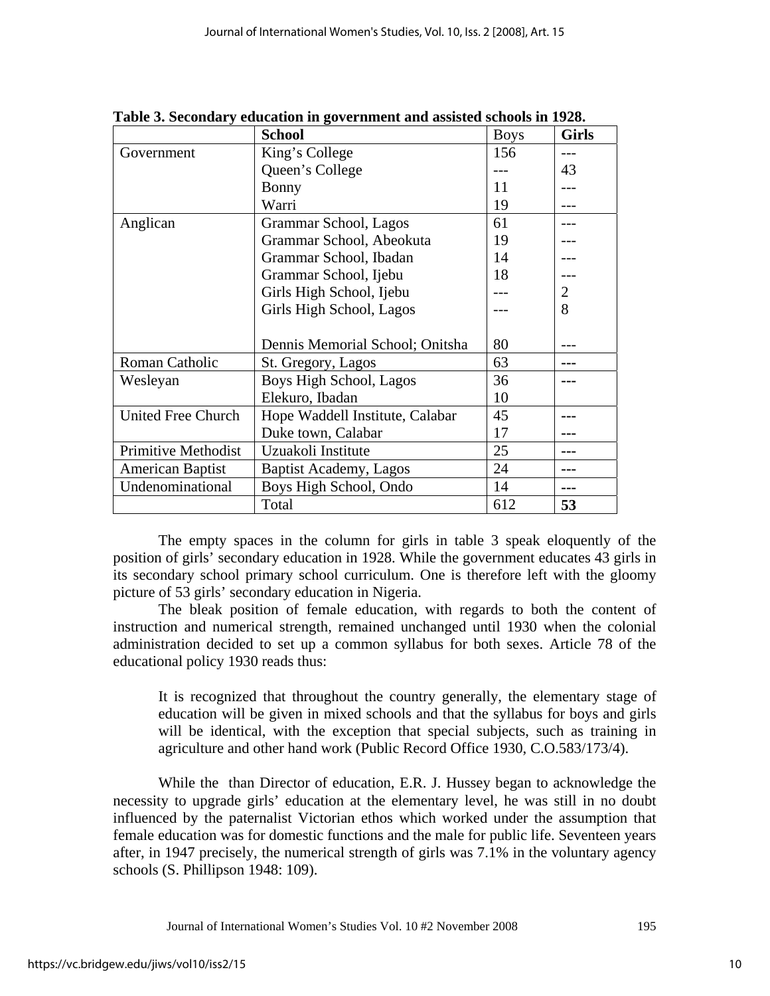|                     | <b>School</b>                   | <b>Boys</b> | <b>Girls</b> |
|---------------------|---------------------------------|-------------|--------------|
| Government          | King's College                  | 156         |              |
|                     | Queen's College                 |             | 43           |
|                     | Bonny                           | 11          |              |
|                     | Warri                           | 19          |              |
| Anglican            | Grammar School, Lagos           | 61          |              |
|                     | Grammar School, Abeokuta        | 19          |              |
|                     | Grammar School, Ibadan          | 14          |              |
|                     | Grammar School, Ijebu           | 18          |              |
|                     | Girls High School, Ijebu        |             | 2            |
|                     | Girls High School, Lagos        |             | 8            |
|                     |                                 |             |              |
|                     | Dennis Memorial School; Onitsha | 80          |              |
| Roman Catholic      | St. Gregory, Lagos              | 63          |              |
| Wesleyan            | Boys High School, Lagos         | 36          |              |
|                     | Elekuro, Ibadan                 | 10          |              |
| United Free Church  | Hope Waddell Institute, Calabar | 45          |              |
|                     | Duke town, Calabar              | 17          |              |
| Primitive Methodist | Uzuakoli Institute              | 25          | ---          |
| American Baptist    | <b>Baptist Academy, Lagos</b>   | 24          |              |
| Undenominational    | Boys High School, Ondo          | 14          | ---          |
|                     | Total                           | 612         | 53           |

**Table 3. Secondary education in government and assisted schools in 1928.** 

 The empty spaces in the column for girls in table 3 speak eloquently of the position of girls' secondary education in 1928. While the government educates 43 girls in its secondary school primary school curriculum. One is therefore left with the gloomy picture of 53 girls' secondary education in Nigeria.

 The bleak position of female education, with regards to both the content of instruction and numerical strength, remained unchanged until 1930 when the colonial administration decided to set up a common syllabus for both sexes. Article 78 of the educational policy 1930 reads thus:

It is recognized that throughout the country generally, the elementary stage of education will be given in mixed schools and that the syllabus for boys and girls will be identical, with the exception that special subjects, such as training in agriculture and other hand work (Public Record Office 1930, C.O.583/173/4).

 While the than Director of education, E.R. J. Hussey began to acknowledge the necessity to upgrade girls' education at the elementary level, he was still in no doubt influenced by the paternalist Victorian ethos which worked under the assumption that female education was for domestic functions and the male for public life. Seventeen years after, in 1947 precisely, the numerical strength of girls was 7.1% in the voluntary agency schools (S. Phillipson 1948: 109).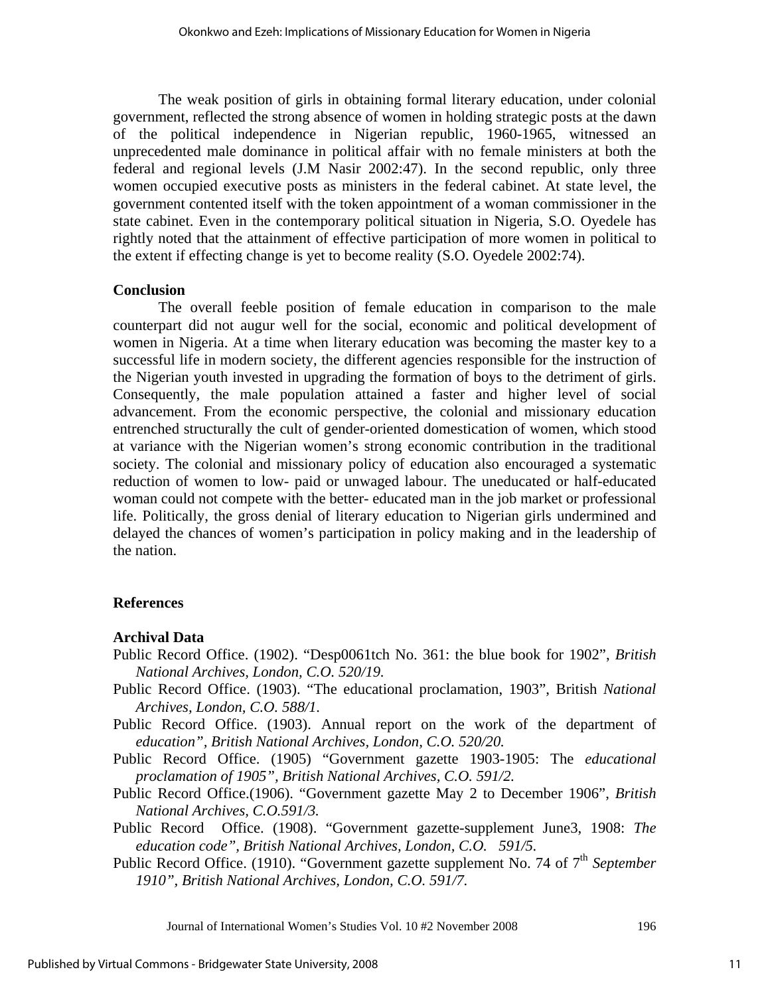The weak position of girls in obtaining formal literary education, under colonial government, reflected the strong absence of women in holding strategic posts at the dawn of the political independence in Nigerian republic, 1960-1965, witnessed an unprecedented male dominance in political affair with no female ministers at both the federal and regional levels (J.M Nasir 2002:47). In the second republic, only three women occupied executive posts as ministers in the federal cabinet. At state level, the government contented itself with the token appointment of a woman commissioner in the state cabinet. Even in the contemporary political situation in Nigeria, S.O. Oyedele has rightly noted that the attainment of effective participation of more women in political to the extent if effecting change is yet to become reality (S.O. Oyedele 2002:74).

#### **Conclusion**

The overall feeble position of female education in comparison to the male counterpart did not augur well for the social, economic and political development of women in Nigeria. At a time when literary education was becoming the master key to a successful life in modern society, the different agencies responsible for the instruction of the Nigerian youth invested in upgrading the formation of boys to the detriment of girls. Consequently, the male population attained a faster and higher level of social advancement. From the economic perspective, the colonial and missionary education entrenched structurally the cult of gender-oriented domestication of women, which stood at variance with the Nigerian women's strong economic contribution in the traditional society. The colonial and missionary policy of education also encouraged a systematic reduction of women to low- paid or unwaged labour. The uneducated or half-educated woman could not compete with the better- educated man in the job market or professional life. Politically, the gross denial of literary education to Nigerian girls undermined and delayed the chances of women's participation in policy making and in the leadership of the nation.

#### **References**

#### **Archival Data**

- Public Record Office. (1902). "Desp0061tch No. 361: the blue book for 1902", *British National Archives, London, C.O. 520/19.*
- Public Record Office. (1903). "The educational proclamation, 1903", British *National Archives, London, C.O. 588/1.*
- Public Record Office. (1903). Annual report on the work of the department of *education", British National Archives, London, C.O. 520/20.*
- Public Record Office. (1905) "Government gazette 1903-1905: The *educational proclamation of 1905", British National Archives, C.O. 591/2.*
- Public Record Office.(1906). "Government gazette May 2 to December 1906", *British National Archives, C.O.591/3.*
- Public Record Office. (1908). "Government gazette-supplement June3, 1908: *The education code", British National Archives, London, C.O. 591/5.*
- Public Record Office. (1910). "Government gazette supplement No. 74 of 7<sup>th</sup> September *1910", British National Archives, London, C.O. 591/7.*